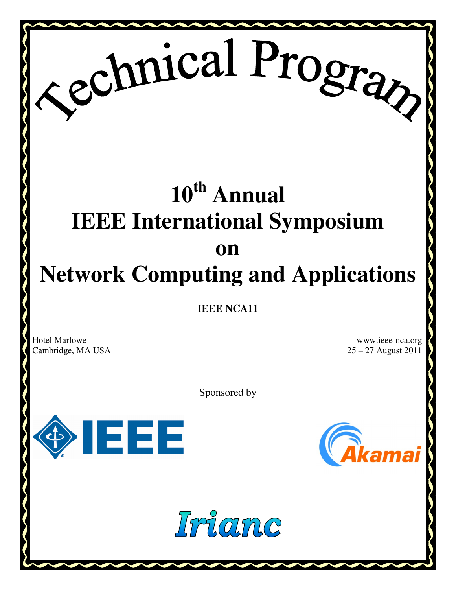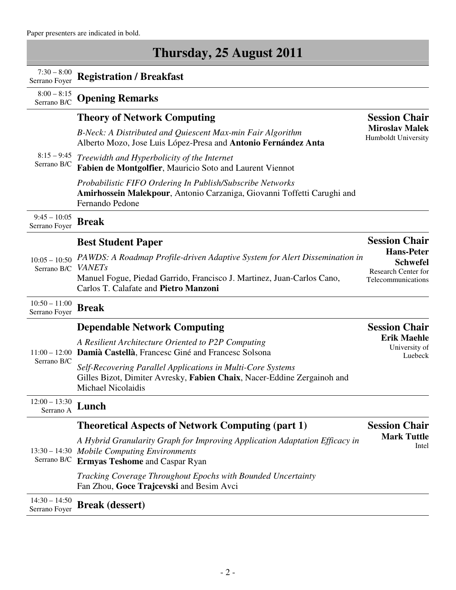Paper presenters are indicated in bold.

| Thursday, 25 August 2011         |                                                                                                                                                                     |                                                |
|----------------------------------|---------------------------------------------------------------------------------------------------------------------------------------------------------------------|------------------------------------------------|
| $7:30 - 8:00$<br>Serrano Foyer   | <b>Registration / Breakfast</b>                                                                                                                                     |                                                |
| $8:00 - 8:15$<br>Serrano B/C     | <b>Opening Remarks</b>                                                                                                                                              |                                                |
| $8:15 - 9:45$<br>Serrano B/C     | <b>Theory of Network Computing</b>                                                                                                                                  | <b>Session Chair</b>                           |
|                                  | B-Neck: A Distributed and Quiescent Max-min Fair Algorithm<br>Alberto Mozo, Jose Luis López-Presa and Antonio Fernández Anta                                        | <b>Miroslav Malek</b><br>Humboldt University   |
|                                  | Treewidth and Hyperbolicity of the Internet<br>Fabien de Montgolfier, Mauricio Soto and Laurent Viennot                                                             |                                                |
|                                  | Probabilistic FIFO Ordering In Publish/Subscribe Networks<br>Amirhossein Malekpour, Antonio Carzaniga, Giovanni Toffetti Carughi and<br>Fernando Pedone             |                                                |
| $9:45 - 10:05$<br>Serrano Foyer  | <b>Break</b>                                                                                                                                                        |                                                |
|                                  | <b>Best Student Paper</b>                                                                                                                                           | <b>Session Chair</b>                           |
| $10:05 - 10:50$                  | PAWDS: A Roadmap Profile-driven Adaptive System for Alert Dissemination in                                                                                          | <b>Hans-Peter</b><br><b>Schwefel</b>           |
| Serrano B/C                      | <b>VANETs</b><br>Manuel Fogue, Piedad Garrido, Francisco J. Martinez, Juan-Carlos Cano,<br>Carlos T. Calafate and Pietro Manzoni                                    | Research Center for<br>Telecommunications      |
| $10:50 - 11:00$                  |                                                                                                                                                                     |                                                |
| Serrano Foyer                    | <b>Break</b>                                                                                                                                                        |                                                |
|                                  | <b>Dependable Network Computing</b>                                                                                                                                 | <b>Session Chair</b>                           |
| Serrano B/C                      | A Resilient Architecture Oriented to P2P Computing<br>11:00 - 12:00 Damià Castellà, Francesc Giné and Francesc Solsona                                              | <b>Erik Maehle</b><br>University of<br>Luebeck |
|                                  | Self-Recovering Parallel Applications in Multi-Core Systems<br>Gilles Bizot, Dimiter Avresky, Fabien Chaix, Nacer-Eddine Zergainoh and<br><b>Michael Nicolaidis</b> |                                                |
| $12:00 - 13:30$<br>Serrano A     | Lunch                                                                                                                                                               |                                                |
|                                  | <b>Theoretical Aspects of Network Computing (part 1)</b>                                                                                                            | <b>Session Chair</b>                           |
| Serrano B/C                      | A Hybrid Granularity Graph for Improving Application Adaptation Efficacy in<br>13:30 - 14:30 Mobile Computing Environments<br><b>Ermyas Teshome and Caspar Ryan</b> | <b>Mark Tuttle</b><br>Intel                    |
|                                  | Tracking Coverage Throughout Epochs with Bounded Uncertainty<br>Fan Zhou, Goce Trajcevski and Besim Avci                                                            |                                                |
| $14:30 - 14:50$<br>Serrano Foyer | <b>Break</b> (dessert)                                                                                                                                              |                                                |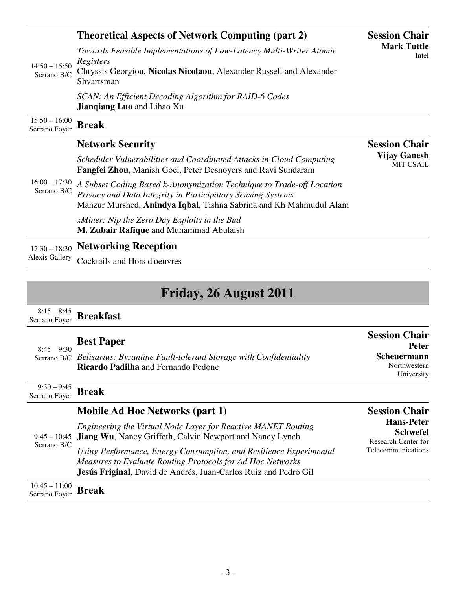| $14:50 - 15:50$<br>Serrano B/C           | <b>Theoretical Aspects of Network Computing (part 2)</b>                                                                                                                                                   | <b>Session Chair</b><br><b>Mark Tuttle</b><br>Intel |
|------------------------------------------|------------------------------------------------------------------------------------------------------------------------------------------------------------------------------------------------------------|-----------------------------------------------------|
|                                          | Towards Feasible Implementations of Low-Latency Multi-Writer Atomic<br>Registers<br>Chryssis Georgiou, Nicolas Nicolaou, Alexander Russell and Alexander<br>Shvartsman                                     |                                                     |
|                                          | SCAN: An Efficient Decoding Algorithm for RAID-6 Codes<br><b>Jianqiang Luo and Lihao Xu</b>                                                                                                                |                                                     |
| $15:50 - 16:00$<br>Serrano Foyer         | <b>Break</b>                                                                                                                                                                                               |                                                     |
| $16:00 - 17:30$<br>Serrano B/C           | <b>Network Security</b>                                                                                                                                                                                    | <b>Session Chair</b>                                |
|                                          | Scheduler Vulnerabilities and Coordinated Attacks in Cloud Computing<br>Fangfei Zhou, Manish Goel, Peter Desnoyers and Ravi Sundaram                                                                       | <b>Vijay Ganesh</b><br><b>MIT CSAIL</b>             |
|                                          | A Subset Coding Based k-Anonymization Technique to Trade-off Location<br>Privacy and Data Integrity in Participatory Sensing Systems<br>Manzur Murshed, Anindya Iqbal, Tishna Sabrina and Kh Mahmudul Alam |                                                     |
|                                          | xMiner: Nip the Zero Day Exploits in the Bud<br>M. Zubair Rafique and Muhammad Abulaish                                                                                                                    |                                                     |
| $17:30 - 18:30$<br><b>Alexis Gallery</b> | <b>Networking Reception</b>                                                                                                                                                                                |                                                     |
|                                          | Cocktails and Hors d'oeuvres                                                                                                                                                                               |                                                     |
|                                          |                                                                                                                                                                                                            |                                                     |
|                                          |                                                                                                                                                                                                            |                                                     |

# **Friday, 26 August 2011**

8:15 – 8:45 Serrano Foyer **Breakfast** 

| $8:45 - 9:30$     | <b>Best Paper</b>                                                                                                           | <b>Session Chair</b><br><b>Peter</b>      |
|-------------------|-----------------------------------------------------------------------------------------------------------------------------|-------------------------------------------|
|                   | Serrano B/C Belisarius: Byzantine Fault-tolerant Storage with Confidentiality<br><b>Ricardo Padilha</b> and Fernando Pedone | Scheuermann<br>Northwestern<br>University |
| $9:30-9:45$ Break |                                                                                                                             |                                           |

|                                                  | <b>Mobile Ad Hoc Networks (part 1)</b>                                                                                                                                                                                                                                                                                                        | <b>Session Chair</b>                                                                     |
|--------------------------------------------------|-----------------------------------------------------------------------------------------------------------------------------------------------------------------------------------------------------------------------------------------------------------------------------------------------------------------------------------------------|------------------------------------------------------------------------------------------|
| Serrano B/C                                      | Engineering the Virtual Node Layer for Reactive MANET Routing<br>9:45 – 10:45 Jiang Wu, Nancy Griffeth, Calvin Newport and Nancy Lynch<br>Using Performance, Energy Consumption, and Resilience Experimental<br>Measures to Evaluate Routing Protocols for Ad Hoc Networks<br>Jesús Friginal, David de Andrés, Juan-Carlos Ruiz and Pedro Gil | <b>Hans-Peter</b><br><b>Schwefel</b><br>Research Center for<br><b>Telecommunications</b> |
| $\frac{10:45-11:00}{\text{Serrano Foyer}}$ Break |                                                                                                                                                                                                                                                                                                                                               |                                                                                          |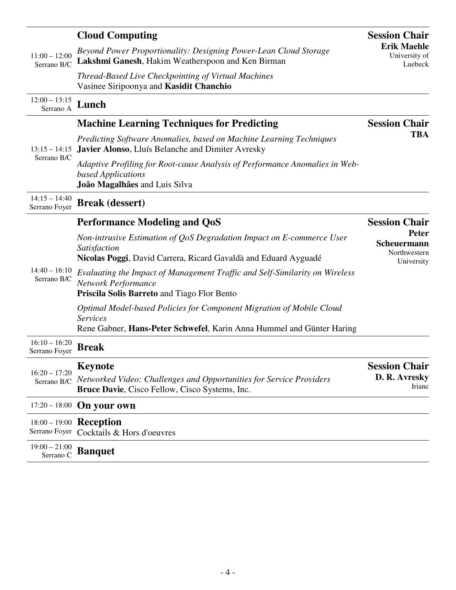| $11:00 - 12:00$<br>Serrano B/C   | <b>Cloud Computing</b>                                                                                                                                           | <b>Session Chair</b>                                         |
|----------------------------------|------------------------------------------------------------------------------------------------------------------------------------------------------------------|--------------------------------------------------------------|
|                                  | Beyond Power Proportionality: Designing Power-Lean Cloud Storage<br>Lakshmi Ganesh, Hakim Weatherspoon and Ken Birman                                            | <b>Erik Maehle</b><br>University of<br>Luebeck               |
|                                  | Thread-Based Live Checkpointing of Virtual Machines<br>Vasinee Siripoonya and Kasidit Chanchio                                                                   |                                                              |
| $12:00 - 13:15$<br>Serrano A     | Lunch                                                                                                                                                            |                                                              |
| $13:15 - 14:15$<br>Serrano B/C   | <b>Machine Learning Techniques for Predicting</b>                                                                                                                | <b>Session Chair</b>                                         |
|                                  | Predicting Software Anomalies, based on Machine Learning Techniques<br>Javier Alonso, Lluís Belanche and Dimiter Avresky                                         | <b>TBA</b>                                                   |
|                                  | Adaptive Profiling for Root-cause Analysis of Performance Anomalies in Web-<br>based Applications<br>João Magalhães and Luis Silva                               |                                                              |
| $14:15 - 14:40$<br>Serrano Foyer | <b>Break</b> (dessert)                                                                                                                                           |                                                              |
| $14:40 - 16:10$<br>Serrano B/C   | <b>Performance Modeling and QoS</b>                                                                                                                              | <b>Session Chair</b><br>Peter<br>Scheuermann<br>Northwestern |
|                                  | Non-intrusive Estimation of QoS Degradation Impact on E-commerce User<br>Satisfaction                                                                            |                                                              |
|                                  | Nicolas Poggi, David Carrera, Ricard Gavaldà and Eduard Ayguadé                                                                                                  | University                                                   |
|                                  | Evaluating the Impact of Management Traffic and Self-Similarity on Wireless<br>Network Performance<br>Priscila Solis Barreto and Tiago Flor Bento                |                                                              |
|                                  | Optimal Model-based Policies for Component Migration of Mobile Cloud<br><b>Services</b><br>Rene Gabner, Hans-Peter Schwefel, Karin Anna Hummel and Günter Haring |                                                              |
| $16:10 - 16:20$<br>Serrano Foyer | <b>Break</b>                                                                                                                                                     |                                                              |
| $16:20 - 17:20$                  | <b>Keynote</b>                                                                                                                                                   | <b>Session Chair</b>                                         |
| Serrano B/C                      | Networked Video: Challenges and Opportunities for Service Providers<br>Bruce Davie, Cisco Fellow, Cisco Systems, Inc.                                            | D. R. Avresky<br>Irianc                                      |
| $17:20 - 18:00$                  | On your own                                                                                                                                                      |                                                              |
| Serrano Foyer                    | 18:00 - 19:00 Reception<br>Cocktails & Hors d'oeuvres                                                                                                            |                                                              |
| $19:00 - 21:00$<br>Serrano C     | <b>Banquet</b>                                                                                                                                                   |                                                              |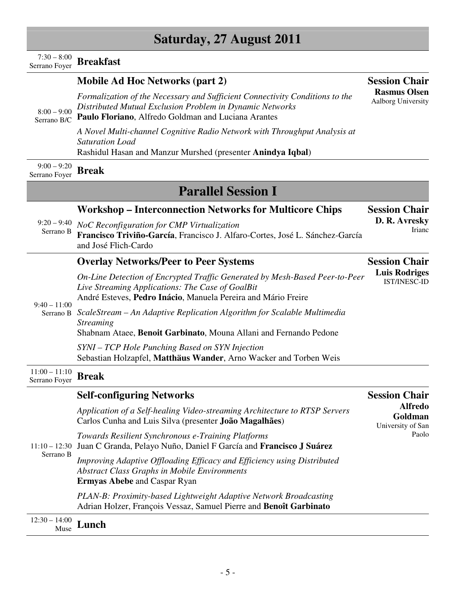#### 8:00 – 9:00 Serrano B/C *Distributed Mutual Exclusion Problem in Dynamic Networks* **Paulo Floriano**, Alfredo Goldman and Luciana Arantes *A Novel Multi-channel Cognitive Radio Network with Throughput Analysis at Saturation Load*  Rashidul Hasan and Manzur Murshed (presenter **Anindya Iqbal**) **Rasmus Olsen** Aalborg University  $9:00 - 9:20$ Serrano Foyer **Break Parallel Session I**  $9:20 - 9:40$ Serrano B **Workshop – Interconnection Networks for Multicore Chips**  *NoC Reconfiguration for CMP Virtualization* **Francisco Triviño-García**, Francisco J. Alfaro-Cortes, José L. Sánchez-García and José Flich-Cardo **Session Chair D. R. Avresky** Irianc  $9:40 - 11:00$ Serrano B *ScaleStream – An Adaptive Replication Algorithm for Scalable Multimedia*  **Overlay Networks/Peer to Peer Systems**  *On-Line Detection of Encrypted Traffic Generated by Mesh-Based Peer-to-Peer Live Streaming Applications: The Case of GoalBit* André Esteves, **Pedro Inácio**, Manuela Pereira and Mário Freire *Streaming*  Shabnam Ataee, **Benoit Garbinato**, Mouna Allani and Fernando Pedone *SYNI – TCP Hole Punching Based on SYN Injection*  Sebastian Holzapfel, **Matthäus Wander**, Arno Wacker and Torben Weis **Session Chair Luis Rodriges** IST/INESC-ID 11:00 – 11:10 Serrano Foyer **Break** 11:10 – 12:30 Juan C Granda, Pelayo Nuño, Daniel F García and **Francisco J Suárez** Serrano B **Self-configuring Networks**  *Application of a Self-healing Video-streaming Architecture to RTSP Servers*  Carlos Cunha and Luis Silva (presenter **João Magalhães**) *Towards Resilient Synchronous e-Training Platforms Improving Adaptive Offloading Efficacy and Efficiency using Distributed Abstract Class Graphs in Mobile Environments* **Ermyas Abebe** and Caspar Ryan *PLAN-B: Proximity-based Lightweight Adaptive Network Broadcasting*  Adrian Holzer, François Vessaz, Samuel Pierre and **Benoît Garbinato Session Chair Alfredo Goldman** University of San Paolo

12:30 – 14:00  $_{Muse}^{14:00}$  **Lunch** 

# **Saturday, 27 August 2011**

#### $7:30 - 8:00$ Serrano Foyer **Breakfast**

# **Mobile Ad Hoc Networks (part 2)**

*Formalization of the Necessary and Sufficient Connectivity Conditions to the* 

**Session Chair**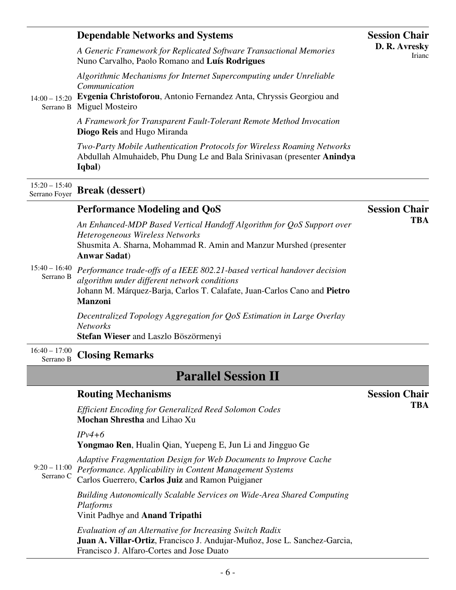| $14:00 - 15:20$                  | <b>Dependable Networks and Systems</b>                                                                                                                                                                                 | <b>Session Chair</b>    |
|----------------------------------|------------------------------------------------------------------------------------------------------------------------------------------------------------------------------------------------------------------------|-------------------------|
|                                  | A Generic Framework for Replicated Software Transactional Memories<br>Nuno Carvalho, Paolo Romano and Luís Rodrigues                                                                                                   | D. R. Avresky<br>Irianc |
|                                  | Algorithmic Mechanisms for Internet Supercomputing under Unreliable<br>Communication                                                                                                                                   |                         |
|                                  | Evgenia Christoforou, Antonio Fernandez Anta, Chryssis Georgiou and<br>Serrano B Miguel Mosteiro                                                                                                                       |                         |
|                                  | A Framework for Transparent Fault-Tolerant Remote Method Invocation<br>Diogo Reis and Hugo Miranda                                                                                                                     |                         |
|                                  | Two-Party Mobile Authentication Protocols for Wireless Roaming Networks<br>Abdullah Almuhaideb, Phu Dung Le and Bala Srinivasan (presenter Anindya<br>Iqbal)                                                           |                         |
| $15:20 - 15:40$<br>Serrano Foyer | <b>Break</b> (dessert)                                                                                                                                                                                                 |                         |
| $15:40 - 16:40$<br>Serrano B     | <b>Performance Modeling and QoS</b>                                                                                                                                                                                    | <b>Session Chair</b>    |
|                                  | An Enhanced-MDP Based Vertical Handoff Algorithm for QoS Support over<br>Heterogeneous Wireless Networks<br>Shusmita A. Sharna, Mohammad R. Amin and Manzur Murshed (presenter<br><b>Anwar Sadat</b> )                 | <b>TBA</b>              |
|                                  | Performance trade-offs of a IEEE 802.21-based vertical handover decision<br>algorithm under different network conditions<br>Johann M. Márquez-Barja, Carlos T. Calafate, Juan-Carlos Cano and Pietro<br><b>Manzoni</b> |                         |
|                                  | Decentralized Topology Aggregation for QoS Estimation in Large Overlay<br><b>Networks</b><br>Stefan Wieser and Laszlo Böszörmenyi                                                                                      |                         |
| $16:40 - 17:00$<br>Serrano B     | <b>Closing Remarks</b>                                                                                                                                                                                                 |                         |
|                                  | <b>Parallel Session II</b>                                                                                                                                                                                             |                         |
|                                  | <b>Routing Mechanisms</b>                                                                                                                                                                                              | <b>Session Chair</b>    |
| $9:20 - 11:00$<br>Serrano C      | <b>Efficient Encoding for Generalized Reed Solomon Codes</b><br>Mochan Shrestha and Lihao Xu                                                                                                                           | <b>TBA</b>              |
|                                  | $IPv4+6$<br>Yongmao Ren, Hualin Qian, Yuepeng E, Jun Li and Jingguo Ge                                                                                                                                                 |                         |
|                                  | Adaptive Fragmentation Design for Web Documents to Improve Cache<br>Performance. Applicability in Content Management Systems<br>Carlos Guerrero, Carlos Juiz and Ramon Puigjaner                                       |                         |
|                                  | <b>Building Autonomically Scalable Services on Wide-Area Shared Computing</b><br>Platforms<br>Vinit Padhye and Anand Tripathi                                                                                          |                         |
|                                  | Evaluation of an Alternative for Increasing Switch Radix<br>Juan A. Villar-Ortiz, Francisco J. Andujar-Muñoz, Jose L. Sanchez-Garcia,<br>Francisco J. Alfaro-Cortes and Jose Duato                                     |                         |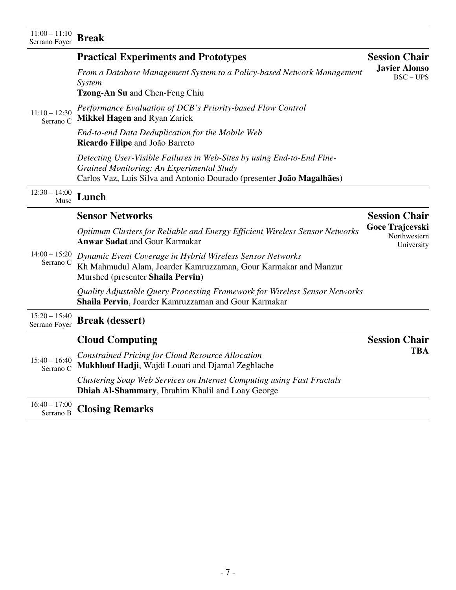## **Practical Experiments and Prototypes**

*From a Database Management System to a Policy-based Network Management System*  **Javier Alonso**

**Session Chair**

BSC – UPS

**Tzong-An Su** and Chen-Feng Chiu

11:10 – 12:30 Serrano C *Performance Evaluation of DCB's Priority-based Flow Control*  **Mikkel Hagen** and Ryan Zarick

> *End-to-end Data Deduplication for the Mobile Web*  **Ricardo Filipe** and João Barreto

*Detecting User-Visible Failures in Web-Sites by using End-to-End Fine-Grained Monitoring: An Experimental Study*  Carlos Vaz, Luis Silva and Antonio Dourado (presenter **João Magalhães**)

12:30 – 14:00  $_{Muse}^{14:00}$  **Lunch** 

|                                  | <b>Sensor Networks</b>                                                                                                                                            | <b>Session Chair</b>                          |
|----------------------------------|-------------------------------------------------------------------------------------------------------------------------------------------------------------------|-----------------------------------------------|
| $14:00 - 15:20$<br>Serrano C     | Optimum Clusters for Reliable and Energy Efficient Wireless Sensor Networks<br><b>Anwar Sadat and Gour Karmakar</b>                                               | Goce Trajcevski<br>Northwestern<br>University |
|                                  | Dynamic Event Coverage in Hybrid Wireless Sensor Networks<br>Kh Mahmudul Alam, Joarder Kamruzzaman, Gour Karmakar and Manzur<br>Murshed (presenter Shaila Pervin) |                                               |
|                                  | Quality Adjustable Query Processing Framework for Wireless Sensor Networks<br>Shaila Pervin, Joarder Kamruzzaman and Gour Karmakar                                |                                               |
| $15:20 - 15:40$<br>Serrano Foyer | <b>Break</b> (dessert)                                                                                                                                            |                                               |
| $15:40 - 16:40$<br>Serrano C     | <b>Cloud Computing</b>                                                                                                                                            | <b>Session Chair</b>                          |
|                                  | <b>Constrained Pricing for Cloud Resource Allocation</b><br>Makhlouf Hadji, Wajdi Louati and Djamal Zeghlache                                                     | TBA                                           |
|                                  | Clustering Soap Web Services on Internet Computing using Fast Fractals<br>Dhiah Al-Shammary, Ibrahim Khalil and Loay George                                       |                                               |

16:40 – 17:00 **Closing Remarks**